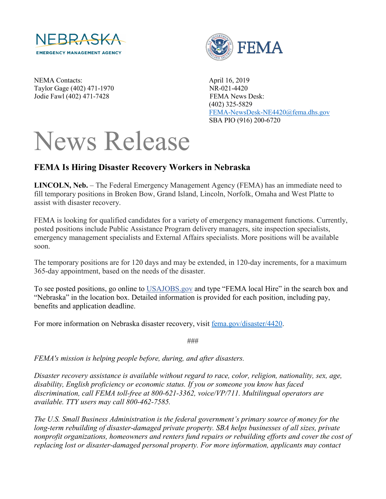

NEMA Contacts: April 16, 2019 Taylor Gage (402) 471-1970 NR-021-4420 Jodie Fawl (402) 471-7428 FEMA News Desk:



 (402) 325-5829 [FEMA-NewsDesk-NE4420@fema.dhs.gov](mailto:FEMA-NewsDesk-NE4420@fema.dhs.gov) SBA PIO (916) 200-6720

## News Release

## **FEMA Is Hiring Disaster Recovery Workers in Nebraska**

**LINCOLN, Neb.** – The Federal Emergency Management Agency (FEMA) has an immediate need to fill temporary positions in Broken Bow, Grand Island, Lincoln, Norfolk, Omaha and West Platte to assist with disaster recovery.

FEMA is looking for qualified candidates for a variety of emergency management functions. Currently, posted positions include Public Assistance Program delivery managers, site inspection specialists, emergency management specialists and External Affairs specialists. More positions will be available soon.

The temporary positions are for 120 days and may be extended, in 120-day increments, for a maximum 365-day appointment, based on the needs of the disaster.

To see posted positions, go online to [USAJOBS.gov](http://www.usajobs.gov/) and type "FEMA local Hire" in the search box and "Nebraska" in the location box. Detailed information is provided for each position, including pay, benefits and application deadline.

For more information on Nebraska disaster recovery, visit [fema.gov/disaster/4420.](http://www.fema.gov/disaster/4420)

###

*FEMA's mission is helping people before, during, and after disasters.*

*Disaster recovery assistance is available without regard to race, color, religion, nationality, sex, age, disability, English proficiency or economic status. If you or someone you know has faced discrimination, call FEMA toll-free at 800-621-3362, voice/VP/711. Multilingual operators are available. TTY users may call 800-462-7585.*

*The U.S. Small Business Administration is the federal government's primary source of money for the long-term rebuilding of disaster-damaged private property. SBA helps businesses of all sizes, private nonprofit organizations, homeowners and renters fund repairs or rebuilding efforts and cover the cost of replacing lost or disaster-damaged personal property. For more information, applicants may contact*